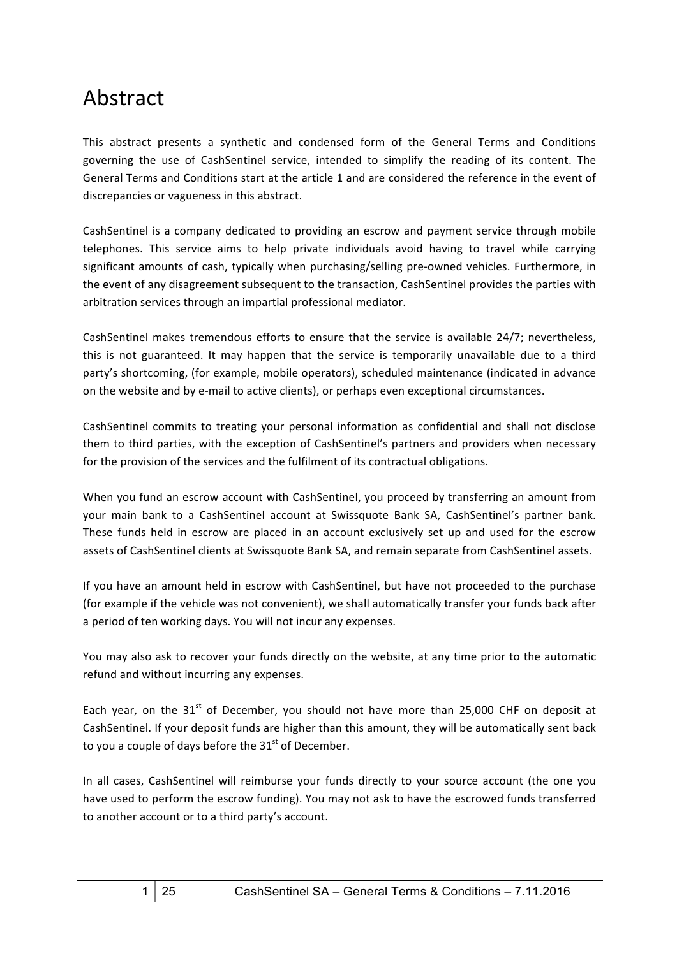# Abstract

This abstract presents a synthetic and condensed form of the General Terms and Conditions governing the use of CashSentinel service, intended to simplify the reading of its content. The General Terms and Conditions start at the article 1 and are considered the reference in the event of discrepancies or vagueness in this abstract.

CashSentinel is a company dedicated to providing an escrow and payment service through mobile telephones. This service aims to help private individuals avoid having to travel while carrying significant amounts of cash, typically when purchasing/selling pre-owned vehicles. Furthermore, in the event of any disagreement subsequent to the transaction, CashSentinel provides the parties with arbitration services through an impartial professional mediator.

CashSentinel makes tremendous efforts to ensure that the service is available 24/7; nevertheless, this is not guaranteed. It may happen that the service is temporarily unavailable due to a third party's shortcoming, (for example, mobile operators), scheduled maintenance (indicated in advance on the website and by e-mail to active clients), or perhaps even exceptional circumstances.

CashSentinel commits to treating your personal information as confidential and shall not disclose them to third parties, with the exception of CashSentinel's partners and providers when necessary for the provision of the services and the fulfilment of its contractual obligations.

When you fund an escrow account with CashSentinel, you proceed by transferring an amount from your main bank to a CashSentinel account at Swissquote Bank SA, CashSentinel's partner bank. These funds held in escrow are placed in an account exclusively set up and used for the escrow assets of CashSentinel clients at Swissquote Bank SA, and remain separate from CashSentinel assets.

If you have an amount held in escrow with CashSentinel, but have not proceeded to the purchase (for example if the vehicle was not convenient), we shall automatically transfer your funds back after a period of ten working days. You will not incur any expenses.

You may also ask to recover your funds directly on the website, at any time prior to the automatic refund and without incurring any expenses.

Each year, on the  $31^{st}$  of December, you should not have more than 25,000 CHF on deposit at CashSentinel. If your deposit funds are higher than this amount, they will be automatically sent back to you a couple of days before the  $31<sup>st</sup>$  of December.

In all cases, CashSentinel will reimburse your funds directly to your source account (the one you have used to perform the escrow funding). You may not ask to have the escrowed funds transferred to another account or to a third party's account.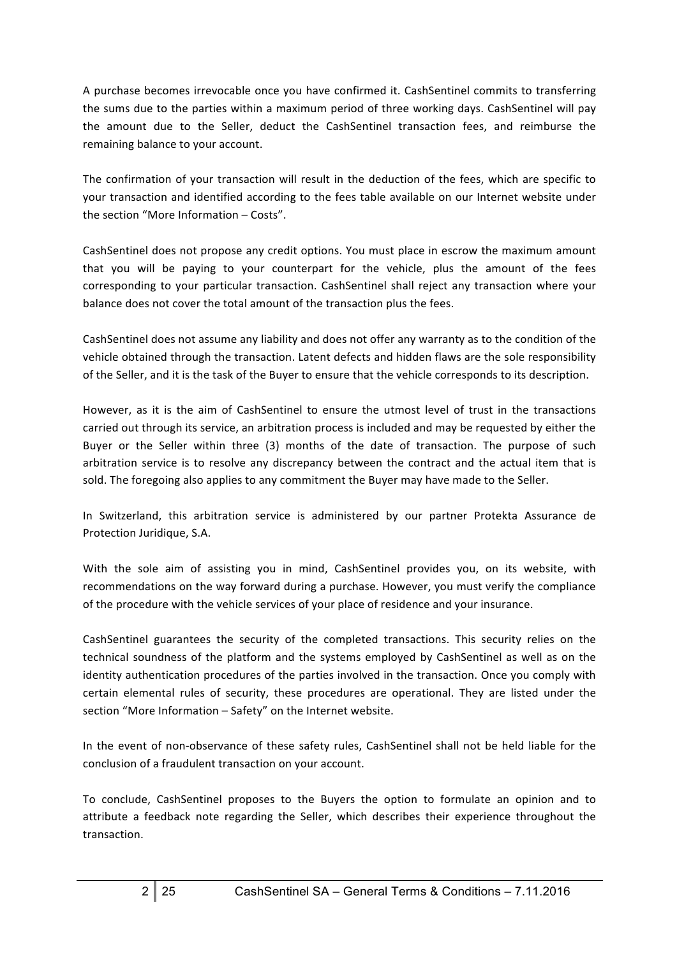A purchase becomes irrevocable once you have confirmed it. CashSentinel commits to transferring the sums due to the parties within a maximum period of three working days. CashSentinel will pay the amount due to the Seller, deduct the CashSentinel transaction fees, and reimburse the remaining balance to your account.

The confirmation of your transaction will result in the deduction of the fees, which are specific to your transaction and identified according to the fees table available on our Internet website under the section "More Information  $-$  Costs".

CashSentinel does not propose any credit options. You must place in escrow the maximum amount that you will be paying to your counterpart for the vehicle, plus the amount of the fees corresponding to your particular transaction. CashSentinel shall reject any transaction where your balance does not cover the total amount of the transaction plus the fees.

CashSentinel does not assume any liability and does not offer any warranty as to the condition of the vehicle obtained through the transaction. Latent defects and hidden flaws are the sole responsibility of the Seller, and it is the task of the Buyer to ensure that the vehicle corresponds to its description.

However, as it is the aim of CashSentinel to ensure the utmost level of trust in the transactions carried out through its service, an arbitration process is included and may be requested by either the Buyer or the Seller within three (3) months of the date of transaction. The purpose of such arbitration service is to resolve any discrepancy between the contract and the actual item that is sold. The foregoing also applies to any commitment the Buyer may have made to the Seller.

In Switzerland, this arbitration service is administered by our partner Protekta Assurance de Protection Juridique, S.A.

With the sole aim of assisting you in mind, CashSentinel provides you, on its website, with recommendations on the way forward during a purchase. However, you must verify the compliance of the procedure with the vehicle services of your place of residence and your insurance.

CashSentinel guarantees the security of the completed transactions. This security relies on the technical soundness of the platform and the systems employed by CashSentinel as well as on the identity authentication procedures of the parties involved in the transaction. Once you comply with certain elemental rules of security, these procedures are operational. They are listed under the section "More Information - Safety" on the Internet website.

In the event of non-observance of these safety rules, CashSentinel shall not be held liable for the conclusion of a fraudulent transaction on your account.

To conclude, CashSentinel proposes to the Buyers the option to formulate an opinion and to attribute a feedback note regarding the Seller, which describes their experience throughout the transaction.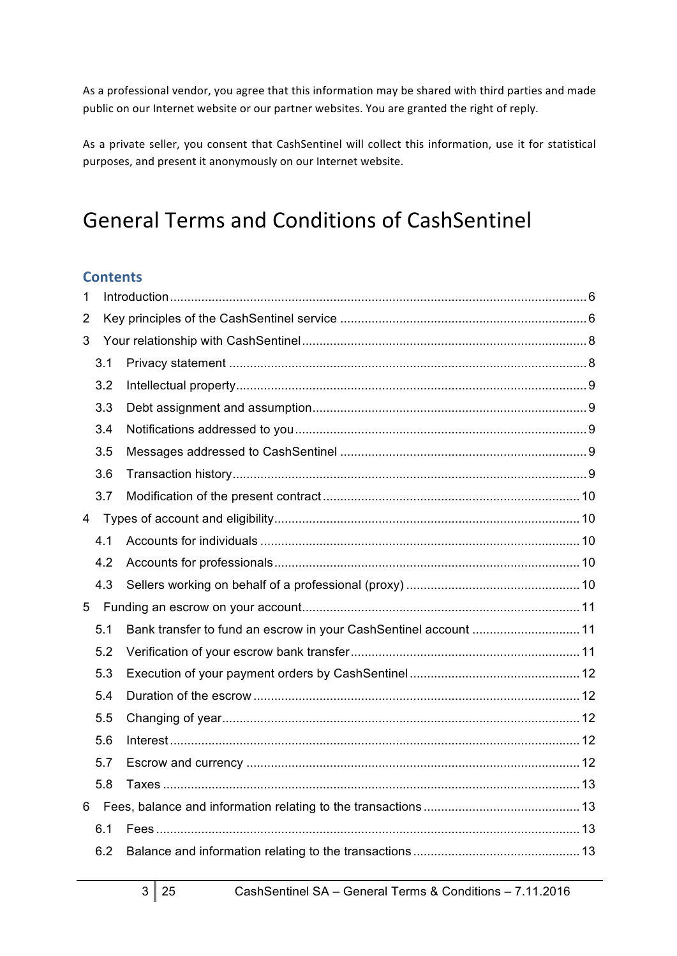As a professional vendor, you agree that this information may be shared with third parties and made public on our Internet website or our partner websites. You are granted the right of reply.

As a private seller, you consent that CashSentinel will collect this information, use it for statistical purposes, and present it anonymously on our Internet website.

# General Terms and Conditions of CashSentinel

# **Contents**

| 1              |     |                                                                  |  |
|----------------|-----|------------------------------------------------------------------|--|
| $\overline{2}$ |     |                                                                  |  |
| 3              |     |                                                                  |  |
|                | 3.1 |                                                                  |  |
|                | 3.2 |                                                                  |  |
|                | 3.3 |                                                                  |  |
|                | 3.4 |                                                                  |  |
|                | 3.5 |                                                                  |  |
|                | 3.6 |                                                                  |  |
|                | 3.7 |                                                                  |  |
| $\overline{4}$ |     |                                                                  |  |
|                | 4.1 |                                                                  |  |
|                | 4.2 |                                                                  |  |
|                | 4.3 |                                                                  |  |
| 5              |     |                                                                  |  |
|                | 5.1 | Bank transfer to fund an escrow in your CashSentinel account  11 |  |
|                | 5.2 |                                                                  |  |
|                | 5.3 |                                                                  |  |
|                | 5.4 |                                                                  |  |
|                | 5.5 |                                                                  |  |
|                | 5.6 |                                                                  |  |
|                | 5.7 |                                                                  |  |
|                | 5.8 |                                                                  |  |
| 6              |     |                                                                  |  |
|                | 6.1 |                                                                  |  |
|                | 6.2 |                                                                  |  |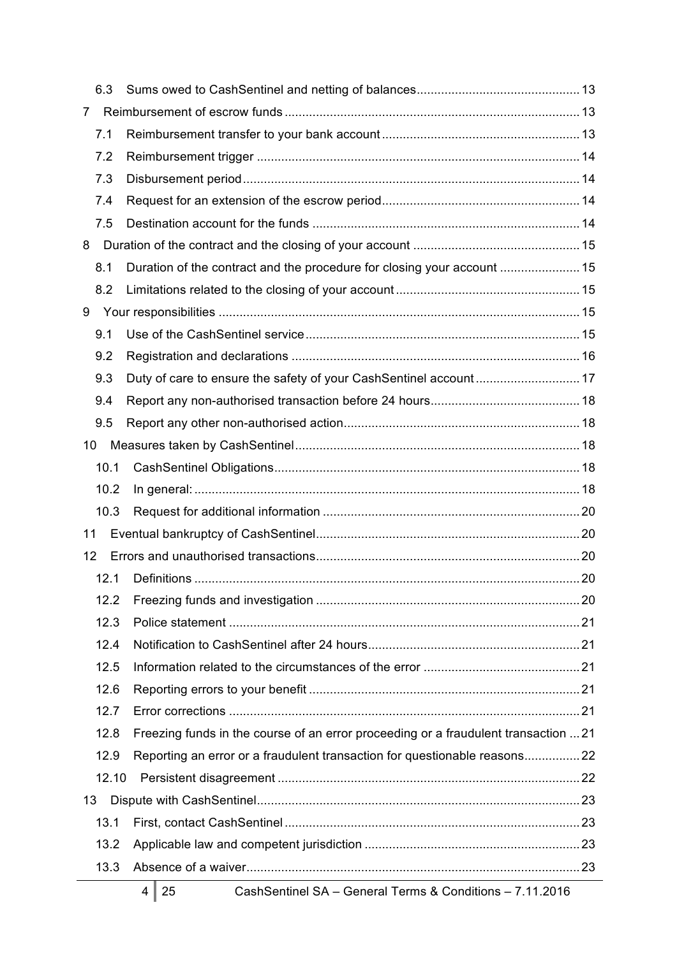|    | 6.3   |                                                                                     |  |
|----|-------|-------------------------------------------------------------------------------------|--|
| 7  |       |                                                                                     |  |
|    | 7.1   |                                                                                     |  |
|    | 7.2   |                                                                                     |  |
|    | 7.3   |                                                                                     |  |
|    | 7.4   |                                                                                     |  |
|    | 7.5   |                                                                                     |  |
| 8  |       |                                                                                     |  |
|    | 8.1   |                                                                                     |  |
|    | 8.2   |                                                                                     |  |
| 9  |       |                                                                                     |  |
|    | 9.1   |                                                                                     |  |
|    | 9.2   |                                                                                     |  |
|    | 9.3   | Duty of care to ensure the safety of your CashSentinel account 17                   |  |
|    | 9.4   |                                                                                     |  |
|    | 9.5   |                                                                                     |  |
| 10 |       |                                                                                     |  |
|    | 10.1  |                                                                                     |  |
|    | 10.2  |                                                                                     |  |
|    | 10.3  |                                                                                     |  |
| 11 |       |                                                                                     |  |
| 12 |       |                                                                                     |  |
|    | 12.1  |                                                                                     |  |
|    | 12.2  |                                                                                     |  |
|    | 12.3  |                                                                                     |  |
|    | 12.4  |                                                                                     |  |
|    | 12.5  |                                                                                     |  |
|    | 12.6  |                                                                                     |  |
|    | 12.7  |                                                                                     |  |
|    | 12.8  | Freezing funds in the course of an error proceeding or a fraudulent transaction  21 |  |
|    | 12.9  | Reporting an error or a fraudulent transaction for questionable reasons22           |  |
|    | 12.10 |                                                                                     |  |
| 13 |       |                                                                                     |  |
|    | 13.1  |                                                                                     |  |
|    | 13.2  |                                                                                     |  |
|    | 13.3  |                                                                                     |  |
|    |       |                                                                                     |  |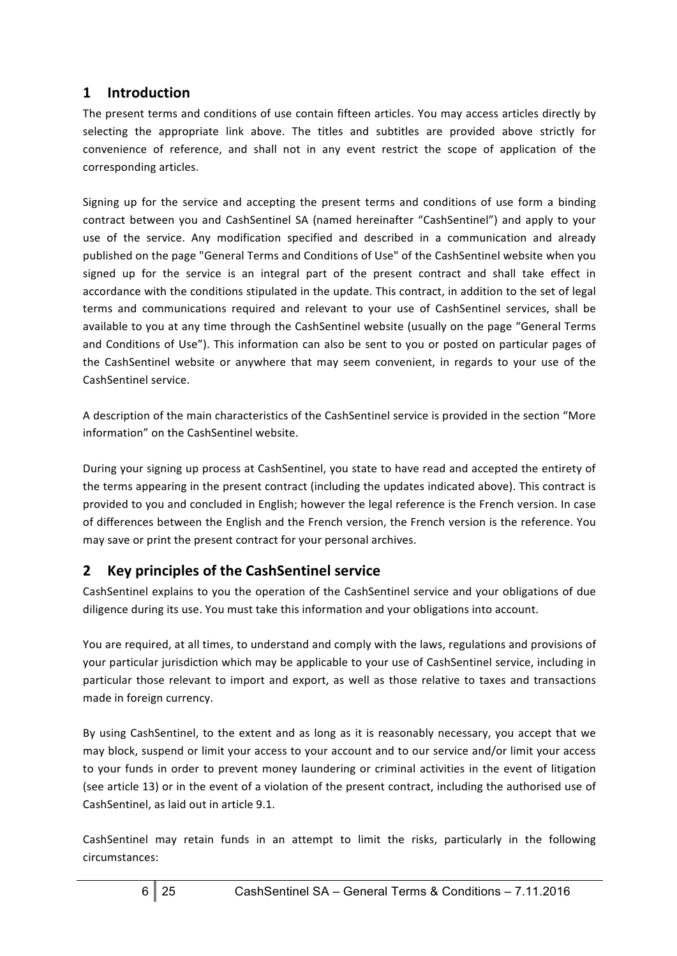# **1 Introduction**

The present terms and conditions of use contain fifteen articles. You may access articles directly by selecting the appropriate link above. The titles and subtitles are provided above strictly for convenience of reference, and shall not in any event restrict the scope of application of the corresponding articles.

Signing up for the service and accepting the present terms and conditions of use form a binding contract between you and CashSentinel SA (named hereinafter "CashSentinel") and apply to your use of the service. Any modification specified and described in a communication and already published on the page "General Terms and Conditions of Use" of the CashSentinel website when you signed up for the service is an integral part of the present contract and shall take effect in accordance with the conditions stipulated in the update. This contract, in addition to the set of legal terms and communications required and relevant to your use of CashSentinel services, shall be available to you at any time through the CashSentinel website (usually on the page "General Terms and Conditions of Use"). This information can also be sent to you or posted on particular pages of the CashSentinel website or anywhere that may seem convenient, in regards to your use of the CashSentinel service.

A description of the main characteristics of the CashSentinel service is provided in the section "More information" on the CashSentinel website.

During your signing up process at CashSentinel, you state to have read and accepted the entirety of the terms appearing in the present contract (including the updates indicated above). This contract is provided to you and concluded in English; however the legal reference is the French version. In case of differences between the English and the French version, the French version is the reference. You may save or print the present contract for your personal archives.

# **2 Key principles of the CashSentinel service**

CashSentinel explains to you the operation of the CashSentinel service and your obligations of due diligence during its use. You must take this information and your obligations into account.

You are required, at all times, to understand and comply with the laws, regulations and provisions of your particular jurisdiction which may be applicable to your use of CashSentinel service, including in particular those relevant to import and export, as well as those relative to taxes and transactions made in foreign currency.

By using CashSentinel, to the extent and as long as it is reasonably necessary, you accept that we may block, suspend or limit your access to your account and to our service and/or limit your access to your funds in order to prevent money laundering or criminal activities in the event of litigation (see article 13) or in the event of a violation of the present contract, including the authorised use of CashSentinel, as laid out in article 9.1.

CashSentinel may retain funds in an attempt to limit the risks, particularly in the following circumstances: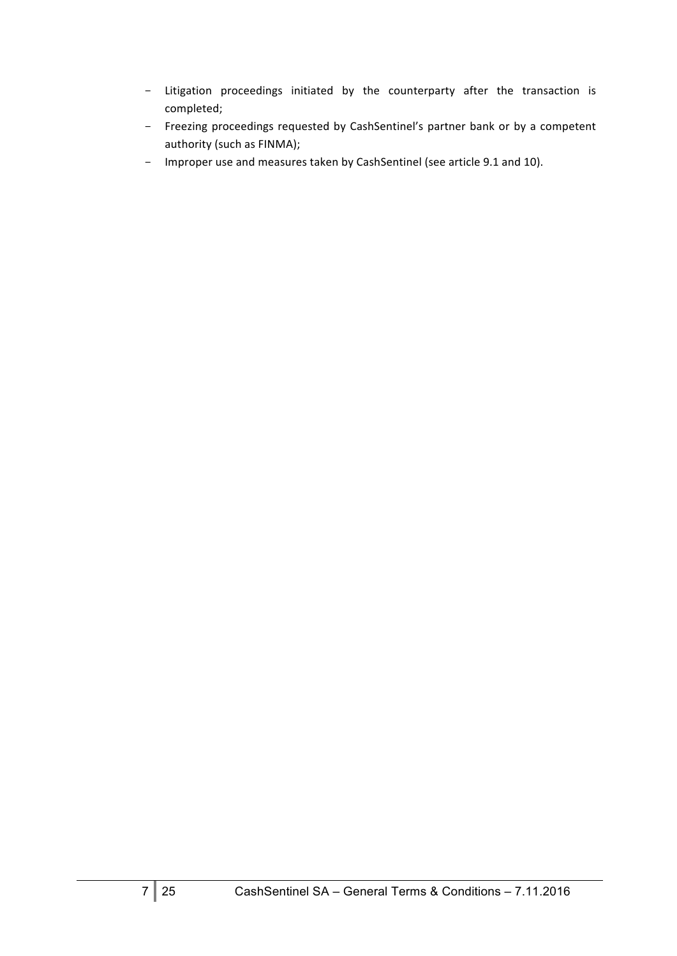- Litigation proceedings initiated by the counterparty after the transaction is completed;
- Freezing proceedings requested by CashSentinel's partner bank or by a competent authority (such as FINMA);
- Improper use and measures taken by CashSentinel (see article 9.1 and 10).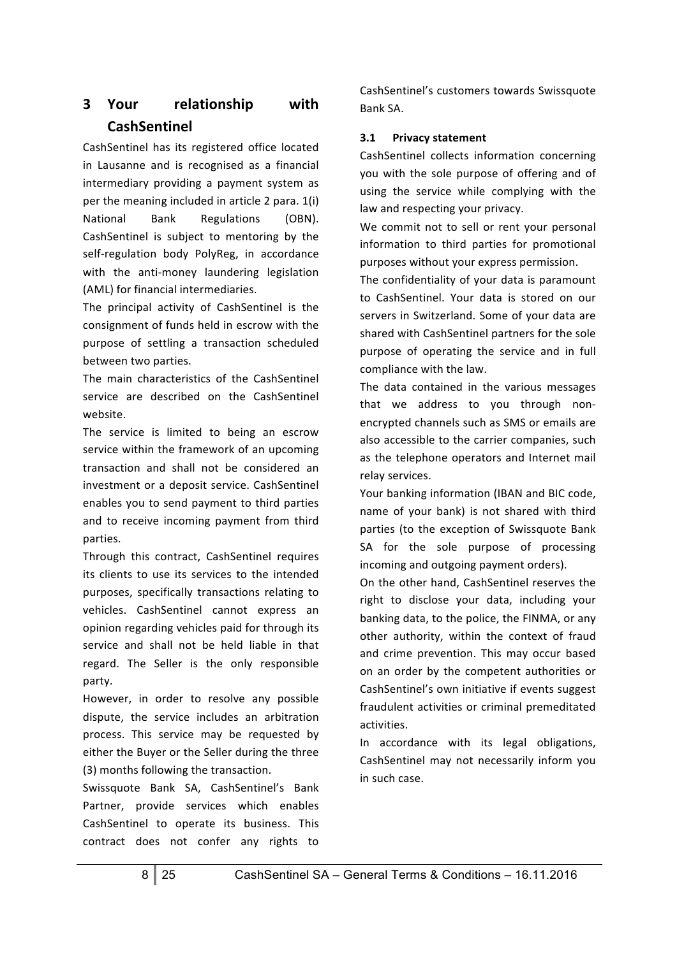# **3 Your relationship with CashSentinel**

CashSentinel has its registered office located in Lausanne and is recognised as a financial intermediary providing a payment system as per the meaning included in article  $2$  para.  $1(i)$ National Bank Regulations (OBN). CashSentinel is subject to mentoring by the self-regulation body PolyReg, in accordance with the anti-money laundering legislation (AML) for financial intermediaries.

The principal activity of CashSentinel is the consignment of funds held in escrow with the purpose of settling a transaction scheduled between two parties.

The main characteristics of the CashSentinel service are described on the CashSentinel website.

The service is limited to being an escrow service within the framework of an upcoming transaction and shall not be considered an investment or a deposit service. CashSentinel enables you to send payment to third parties and to receive incoming payment from third parties. 

Through this contract, CashSentinel requires its clients to use its services to the intended purposes, specifically transactions relating to vehicles. CashSentinel cannot express an opinion regarding vehicles paid for through its service and shall not be held liable in that regard. The Seller is the only responsible party.

However, in order to resolve any possible dispute, the service includes an arbitration process. This service may be requested by either the Buver or the Seller during the three (3) months following the transaction.

Swissquote Bank SA, CashSentinel's Bank Partner, provide services which enables CashSentinel to operate its business. This contract does not confer any rights to CashSentinel's customers towards Swissquote Bank SA.

### **3.1 Privacy statement**

CashSentinel collects information concerning you with the sole purpose of offering and of using the service while complying with the law and respecting your privacy.

We commit not to sell or rent your personal information to third parties for promotional purposes without your express permission.

The confidentiality of your data is paramount to CashSentinel. Your data is stored on our servers in Switzerland. Some of your data are shared with CashSentinel partners for the sole purpose of operating the service and in full compliance with the law.

The data contained in the various messages that we address to you through nonencrypted channels such as SMS or emails are also accessible to the carrier companies, such as the telephone operators and Internet mail relay services.

Your banking information (IBAN and BIC code, name of your bank) is not shared with third parties (to the exception of Swissquote Bank SA for the sole purpose of processing incoming and outgoing payment orders).

On the other hand, CashSentinel reserves the right to disclose your data, including your banking data, to the police, the FINMA, or any other authority, within the context of fraud and crime prevention. This may occur based on an order by the competent authorities or CashSentinel's own initiative if events suggest fraudulent activities or criminal premeditated activities. 

In accordance with its legal obligations, CashSentinel may not necessarily inform you in such case.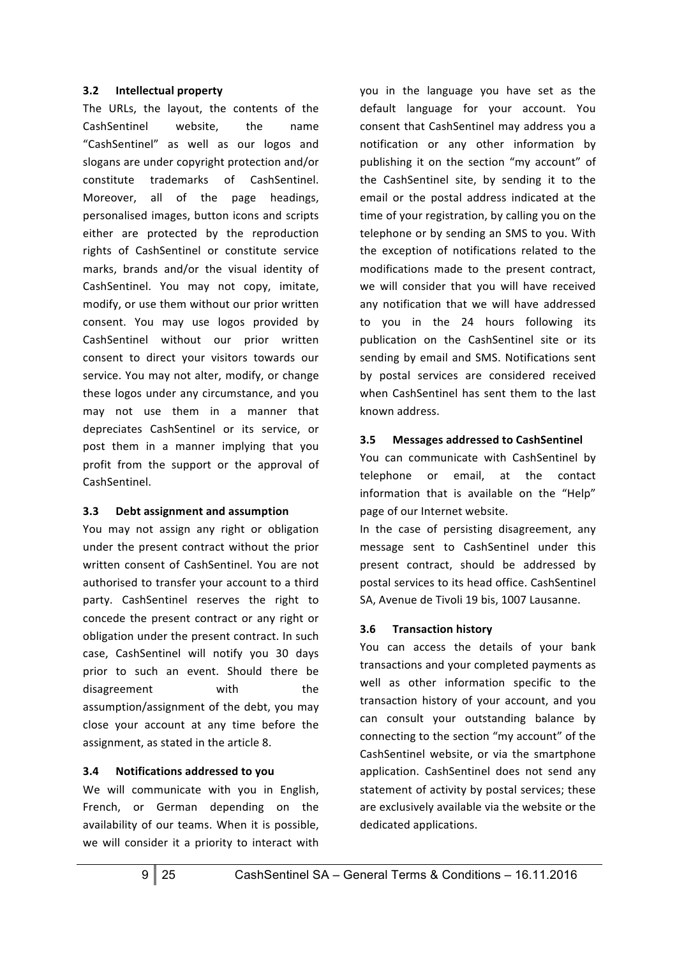#### **3.2 Intellectual property**

The URLs, the layout, the contents of the CashSentinel website. the name "CashSentinel" as well as our logos and slogans are under copyright protection and/or constitute trademarks of CashSentinel. Moreover, all of the page headings, personalised images, button icons and scripts either are protected by the reproduction rights of CashSentinel or constitute service marks, brands and/or the visual identity of CashSentinel. You may not copy, imitate, modify, or use them without our prior written consent. You may use logos provided by CashSentinel without our prior written consent to direct your visitors towards our service. You may not alter, modify, or change these logos under any circumstance, and you may not use them in a manner that depreciates CashSentinel or its service, or post them in a manner implying that you profit from the support or the approval of CashSentinel.

#### **3.3 Debt assignment and assumption**

You may not assign any right or obligation under the present contract without the prior written consent of CashSentinel. You are not authorised to transfer your account to a third party. CashSentinel reserves the right to concede the present contract or any right or obligation under the present contract. In such case, CashSentinel will notify you 30 days prior to such an event. Should there be disagreement with the assumption/assignment of the debt, you may close your account at any time before the assignment, as stated in the article 8.

## **3.4 Notifications addressed to you**

We will communicate with you in English, French, or German depending on the availability of our teams. When it is possible, we will consider it a priority to interact with you in the language you have set as the default language for your account. You consent that CashSentinel may address you a notification or any other information by publishing it on the section "my account" of the CashSentinel site, by sending it to the email or the postal address indicated at the time of your registration, by calling you on the telephone or by sending an SMS to you. With the exception of notifications related to the modifications made to the present contract. we will consider that you will have received any notification that we will have addressed to you in the 24 hours following its publication on the CashSentinel site or its sending by email and SMS. Notifications sent by postal services are considered received when CashSentinel has sent them to the last known address. 

#### **3.5 Messages addressed to CashSentinel**

You can communicate with CashSentinel by telephone or email, at the contact information that is available on the "Help" page of our Internet website.

In the case of persisting disagreement, any message sent to CashSentinel under this present contract, should be addressed by postal services to its head office. CashSentinel SA, Avenue de Tivoli 19 bis, 1007 Lausanne.

## **3.6 Transaction history**

You can access the details of your bank transactions and your completed payments as well as other information specific to the transaction history of your account, and you can consult your outstanding balance by connecting to the section "my account" of the CashSentinel website, or via the smartphone application. CashSentinel does not send any statement of activity by postal services; these are exclusively available via the website or the dedicated applications.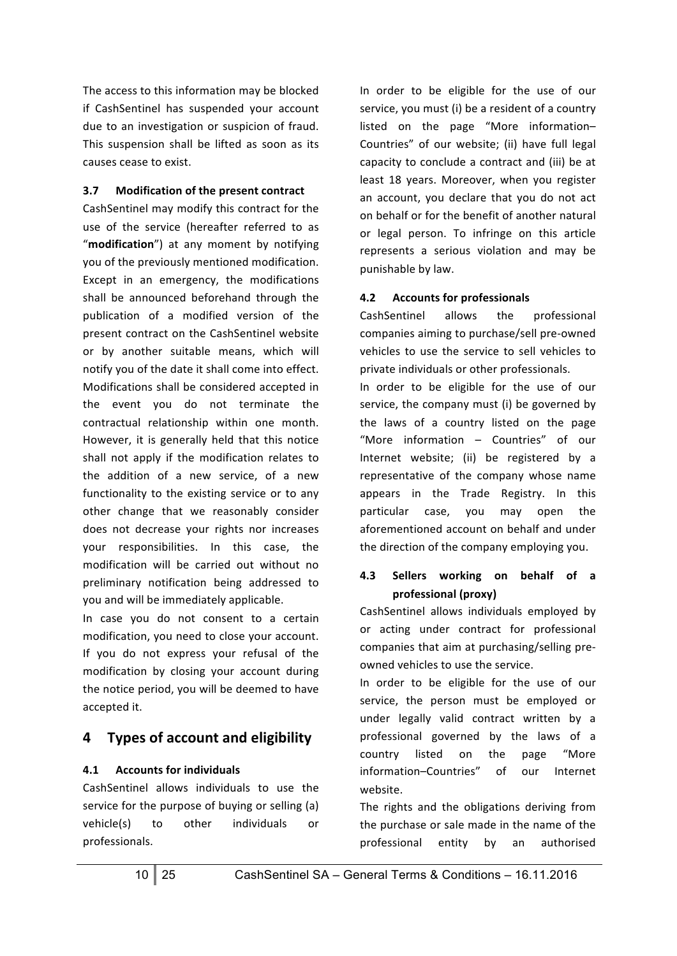The access to this information may be blocked if CashSentinel has suspended your account due to an investigation or suspicion of fraud. This suspension shall be lifted as soon as its causes cease to exist.

#### **3.7** Modification of the present contract

CashSentinel may modify this contract for the use of the service (hereafter referred to as "modification") at any moment by notifying you of the previously mentioned modification. Except in an emergency, the modifications shall be announced beforehand through the publication of a modified version of the present contract on the CashSentinel website or by another suitable means, which will notify you of the date it shall come into effect. Modifications shall be considered accepted in the event you do not terminate the contractual relationship within one month. However, it is generally held that this notice shall not apply if the modification relates to the addition of a new service, of a new functionality to the existing service or to any other change that we reasonably consider does not decrease your rights nor increases your responsibilities. In this case, the modification will be carried out without no preliminary notification being addressed to you and will be immediately applicable.

In case you do not consent to a certain modification, you need to close your account. If you do not express your refusal of the modification by closing your account during the notice period, you will be deemed to have accepted it.

# **4 Types of account and eligibility**

#### **4.1** Accounts for individuals

CashSentinel allows individuals to use the service for the purpose of buying or selling (a) vehicle(s) to other individuals or professionals.

In order to be eligible for the use of our service, you must (i) be a resident of a country listed on the page "More information-Countries" of our website; (ii) have full legal capacity to conclude a contract and (iii) be at least 18 years. Moreover, when you register an account, you declare that you do not act on behalf or for the benefit of another natural or legal person. To infringe on this article represents a serious violation and may be punishable by law.

#### **4.2** Accounts for professionals

CashSentinel allows the professional companies aiming to purchase/sell pre-owned vehicles to use the service to sell vehicles to private individuals or other professionals.

In order to be eligible for the use of our service, the company must (i) be governed by the laws of a country listed on the page "More information - Countries" of our Internet website; (ii) be registered by a representative of the company whose name appears in the Trade Registry. In this particular case, you may open the aforementioned account on behalf and under the direction of the company employing you.

#### **4.3 Sellers working on behalf of a professional (proxy)**

CashSentinel allows individuals employed by or acting under contract for professional companies that aim at purchasing/selling preowned vehicles to use the service.

In order to be eligible for the use of our service, the person must be employed or under legally valid contract written by a professional governed by the laws of a country listed on the page "More information–Countries" of our Internet website.

The rights and the obligations deriving from the purchase or sale made in the name of the professional entity by an authorised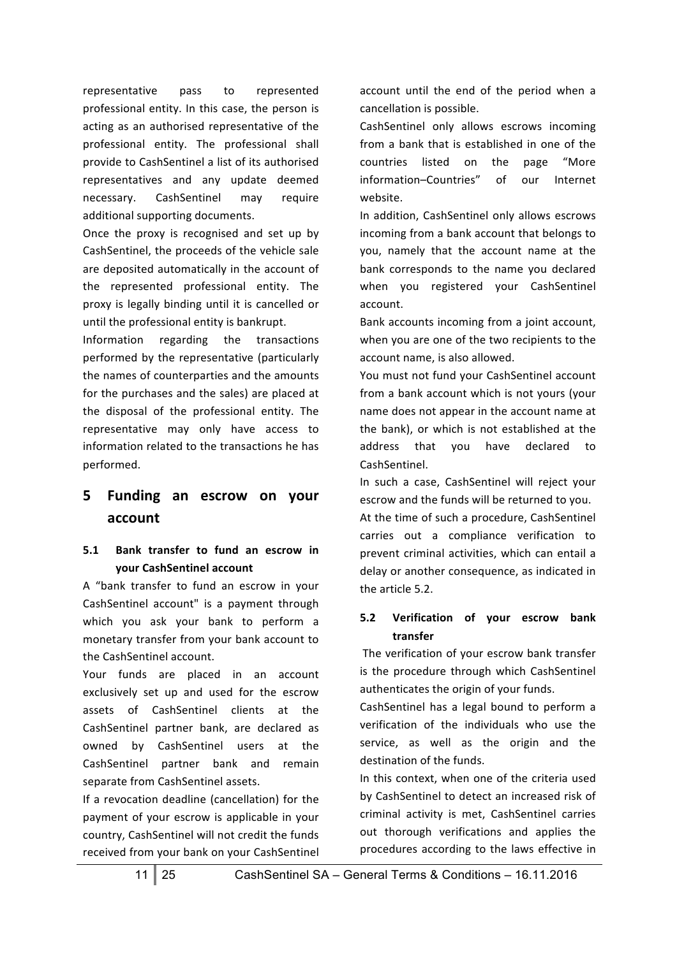representative pass to represented professional entity. In this case, the person is acting as an authorised representative of the professional entity. The professional shall provide to CashSentinel a list of its authorised representatives and any update deemed necessary. CashSentinel may require additional supporting documents.

Once the proxy is recognised and set up by CashSentinel, the proceeds of the vehicle sale are deposited automatically in the account of the represented professional entity. The proxy is legally binding until it is cancelled or until the professional entity is bankrupt.

Information regarding the transactions performed by the representative (particularly the names of counterparties and the amounts for the purchases and the sales) are placed at the disposal of the professional entity. The representative may only have access to information related to the transactions he has performed.

# **5 Funding an escrow on your account**

#### **5.1 Bank transfer to fund an escrow in your CashSentinel account**

A "bank transfer to fund an escrow in your CashSentinel account" is a payment through which you ask your bank to perform a monetary transfer from your bank account to the CashSentinel account.

Your funds are placed in an account exclusively set up and used for the escrow assets of CashSentinel clients at the CashSentinel partner bank, are declared as owned by CashSentinel users at the CashSentinel partner bank and remain separate from CashSentinel assets.

If a revocation deadline (cancellation) for the payment of your escrow is applicable in your country, CashSentinel will not credit the funds received from your bank on your CashSentinel account until the end of the period when a cancellation is possible.

CashSentinel only allows escrows incoming from a bank that is established in one of the countries listed on the page "More information–Countries" of our Internet website.

In addition, CashSentinel only allows escrows incoming from a bank account that belongs to you, namely that the account name at the bank corresponds to the name you declared when you registered your CashSentinel account.

Bank accounts incoming from a joint account, when you are one of the two recipients to the account name, is also allowed.

You must not fund your CashSentinel account from a bank account which is not yours (your name does not appear in the account name at the bank), or which is not established at the address that you have declared to CashSentinel.

In such a case, CashSentinel will reject your escrow and the funds will be returned to you.

At the time of such a procedure, CashSentinel carries out a compliance verification to prevent criminal activities, which can entail a delay or another consequence, as indicated in the article 5.2.

#### **5.2 Verification of your escrow bank transfer**

The verification of your escrow bank transfer is the procedure through which CashSentinel authenticates the origin of your funds.

CashSentinel has a legal bound to perform a verification of the individuals who use the service, as well as the origin and the destination of the funds.

In this context, when one of the criteria used by CashSentinel to detect an increased risk of criminal activity is met, CashSentinel carries out thorough verifications and applies the procedures according to the laws effective in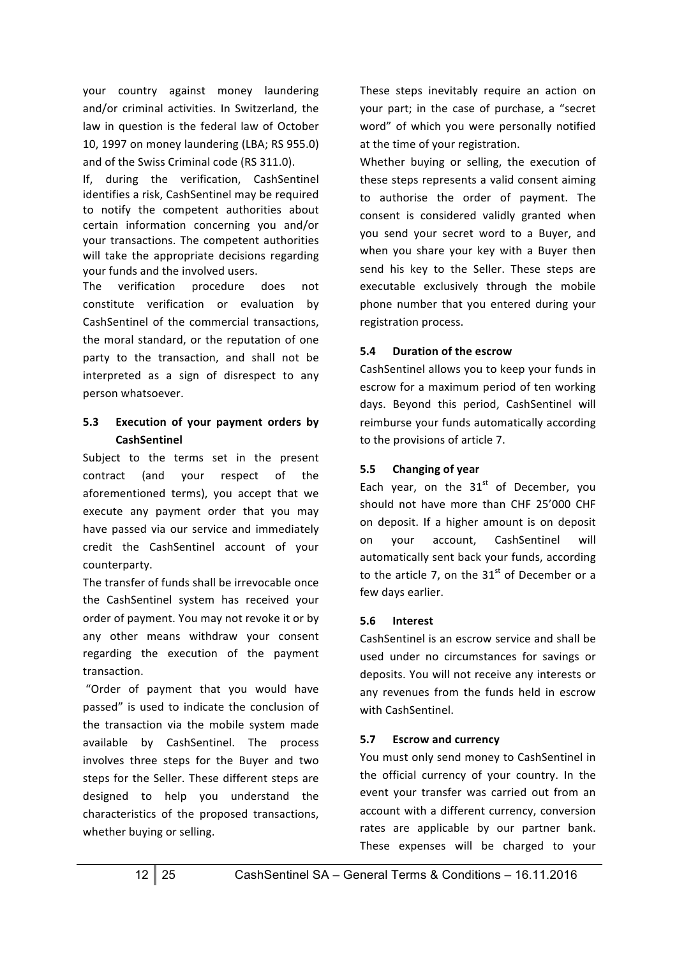your country against money laundering and/or criminal activities. In Switzerland, the law in question is the federal law of October 10, 1997 on money laundering (LBA; RS 955.0) and of the Swiss Criminal code (RS 311.0).

If, during the verification, CashSentinel identifies a risk, CashSentinel may be required to notify the competent authorities about certain information concerning you and/or your transactions. The competent authorities will take the appropriate decisions regarding your funds and the involved users.

The verification procedure does not constitute verification or evaluation by CashSentinel of the commercial transactions, the moral standard, or the reputation of one party to the transaction, and shall not be interpreted as a sign of disrespect to any person whatsoever.

### 5.3 **Execution of your payment orders by CashSentinel**

Subject to the terms set in the present contract (and your respect of the aforementioned terms), you accept that we execute any payment order that you may have passed via our service and immediately credit the CashSentinel account of your counterparty. 

The transfer of funds shall be irrevocable once the CashSentinel system has received your order of payment. You may not revoke it or by any other means withdraw your consent regarding the execution of the payment transaction.

"Order of payment that you would have passed" is used to indicate the conclusion of the transaction via the mobile system made available by CashSentinel. The process involves three steps for the Buyer and two steps for the Seller. These different steps are designed to help you understand the characteristics of the proposed transactions, whether buying or selling.

These steps inevitably require an action on your part; in the case of purchase, a "secret word" of which you were personally notified at the time of your registration.

Whether buying or selling, the execution of these steps represents a valid consent aiming to authorise the order of payment. The consent is considered validly granted when you send your secret word to a Buyer, and when you share your key with a Buyer then send his key to the Seller. These steps are executable exclusively through the mobile phone number that you entered during your registration process.

#### **5.4 Duration of the escrow**

CashSentinel allows you to keep your funds in escrow for a maximum period of ten working days. Beyond this period, CashSentinel will reimburse your funds automatically according to the provisions of article 7.

#### **5.5 Changing of year**

Each year, on the  $31<sup>st</sup>$  of December, you should not have more than CHF 25'000 CHF on deposit. If a higher amount is on deposit on your account, CashSentinel will automatically sent back your funds, according to the article 7, on the  $31<sup>st</sup>$  of December or a few days earlier.

#### **5.6 Interest**

CashSentinel is an escrow service and shall be used under no circumstances for savings or deposits. You will not receive any interests or any revenues from the funds held in escrow with CashSentinel.

#### **5.7 Escrow and currency**

You must only send money to CashSentinel in the official currency of your country. In the event your transfer was carried out from an account with a different currency, conversion rates are applicable by our partner bank. These expenses will be charged to your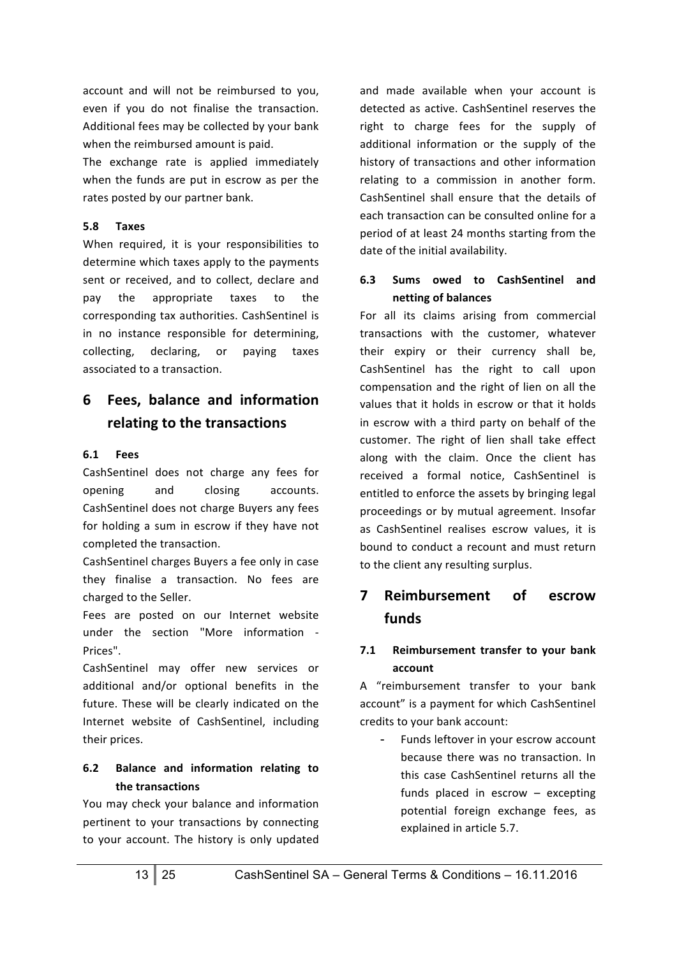account and will not be reimbursed to you, even if you do not finalise the transaction. Additional fees may be collected by your bank when the reimbursed amount is paid.

The exchange rate is applied immediately when the funds are put in escrow as per the rates posted by our partner bank.

#### **5.8 Taxes**

When required, it is your responsibilities to determine which taxes apply to the payments sent or received, and to collect, declare and pay the appropriate taxes to the corresponding tax authorities. CashSentinel is in no instance responsible for determining, collecting, declaring, or paying taxes associated to a transaction.

# **6 Fees, balance and information relating to the transactions**

#### **6.1 Fees**

CashSentinel does not charge any fees for opening and closing accounts. CashSentinel does not charge Buyers any fees for holding a sum in escrow if they have not completed the transaction.

CashSentinel charges Buyers a fee only in case they finalise a transaction. No fees are charged to the Seller.

Fees are posted on our Internet website under the section "More information -Prices".

CashSentinel may offer new services or additional and/or optional benefits in the future. These will be clearly indicated on the Internet website of CashSentinel, including their prices.

## **6.2 Balance and information relating to the transactions**

You may check your balance and information pertinent to your transactions by connecting to your account. The history is only updated and made available when your account is detected as active. CashSentinel reserves the right to charge fees for the supply of additional information or the supply of the history of transactions and other information relating to a commission in another form. CashSentinel shall ensure that the details of each transaction can be consulted online for a period of at least 24 months starting from the date of the initial availability.

#### **6.3 Sums owed to CashSentinel and netting of balances**

For all its claims arising from commercial transactions with the customer, whatever their expiry or their currency shall be, CashSentinel has the right to call upon compensation and the right of lien on all the values that it holds in escrow or that it holds in escrow with a third party on behalf of the customer. The right of lien shall take effect along with the claim. Once the client has received a formal notice, CashSentinel is entitled to enforce the assets by bringing legal proceedings or by mutual agreement. Insofar as CashSentinel realises escrow values, it is bound to conduct a recount and must return to the client any resulting surplus.

# **7 Reimbursement of escrow funds**

#### **7.1** Reimbursement transfer to your bank **account**

A "reimbursement transfer to your bank account" is a payment for which CashSentinel credits to your bank account:

Funds leftover in your escrow account because there was no transaction. In this case CashSentinel returns all the funds placed in escrow  $-$  excepting potential foreign exchange fees, as explained in article 5.7.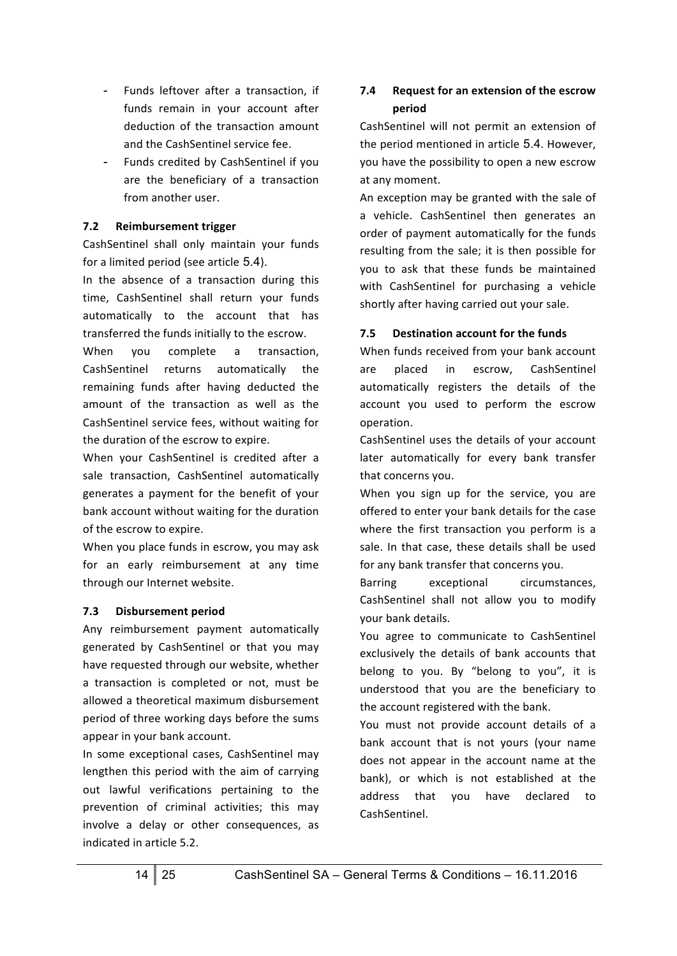- Funds leftover after a transaction, if funds remain in your account after deduction of the transaction amount and the CashSentinel service fee.
- Funds credited by CashSentinel if you are the beneficiary of a transaction from another user.

#### **7.2** Reimbursement trigger

CashSentinel shall only maintain your funds for a limited period (see article 5.4).

In the absence of a transaction during this time, CashSentinel shall return your funds automatically to the account that has transferred the funds initially to the escrow.

When you complete a transaction, CashSentinel returns automatically the remaining funds after having deducted the amount of the transaction as well as the CashSentinel service fees, without waiting for the duration of the escrow to expire.

When your CashSentinel is credited after a sale transaction, CashSentinel automatically generates a payment for the benefit of your bank account without waiting for the duration of the escrow to expire.

When you place funds in escrow, you may ask for an early reimbursement at any time through our Internet website.

#### **7.3 Disbursement period**

Any reimbursement payment automatically generated by CashSentinel or that you may have requested through our website, whether a transaction is completed or not, must be allowed a theoretical maximum disbursement period of three working days before the sums appear in your bank account.

In some exceptional cases, CashSentinel may lengthen this period with the aim of carrying out lawful verifications pertaining to the prevention of criminal activities; this may involve a delay or other consequences, as indicated in article 5.2.

# **7.4** Request for an extension of the escrow **period**

CashSentinel will not permit an extension of the period mentioned in article 5.4. However, you have the possibility to open a new escrow at any moment.

An exception may be granted with the sale of a vehicle. CashSentinel then generates an order of payment automatically for the funds resulting from the sale; it is then possible for you to ask that these funds be maintained with CashSentinel for purchasing a vehicle shortly after having carried out your sale.

#### **7.5 Destination account for the funds**

When funds received from your bank account are placed in escrow, CashSentinel automatically registers the details of the account you used to perform the escrow operation. 

CashSentinel uses the details of your account later automatically for every bank transfer that concerns you.

When you sign up for the service, you are offered to enter your bank details for the case where the first transaction you perform is a sale. In that case, these details shall be used for any bank transfer that concerns you.

Barring exceptional circumstances, CashSentinel shall not allow you to modify vour bank details.

You agree to communicate to CashSentinel exclusively the details of bank accounts that belong to you. By "belong to you", it is understood that you are the beneficiary to the account registered with the bank.

You must not provide account details of a bank account that is not yours (your name does not appear in the account name at the bank), or which is not established at the address that you have declared to CashSentinel.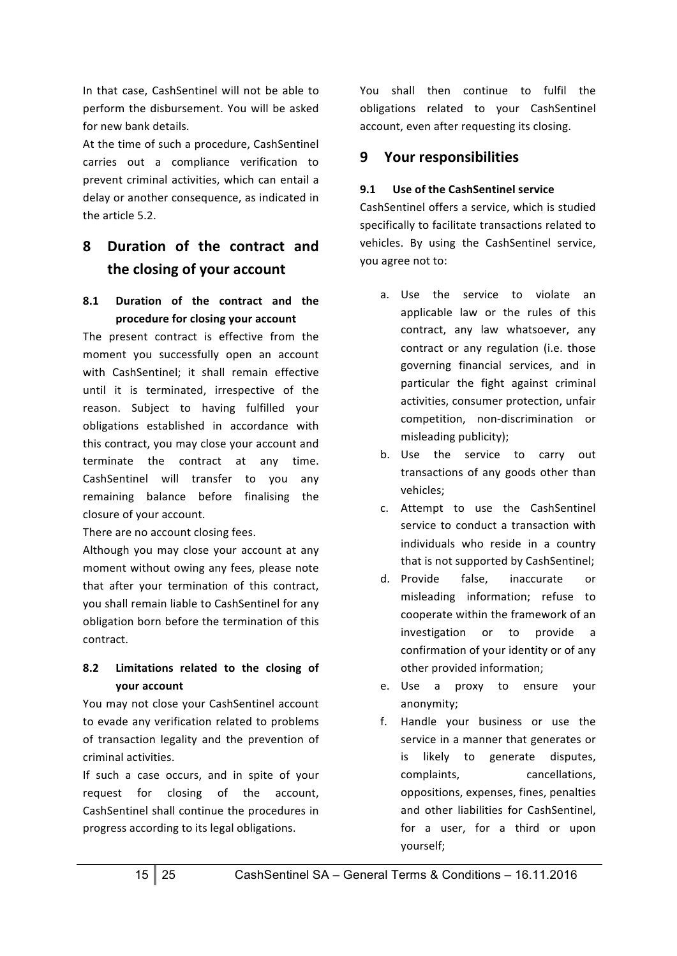In that case, CashSentinel will not be able to perform the disbursement. You will be asked for new bank details.

At the time of such a procedure, CashSentinel carries out a compliance verification to prevent criminal activities, which can entail a delay or another consequence, as indicated in the article 5.2.

# **8 Duration of the contract and**  the closing of your account

## **8.1 Duration of the contract and the procedure for closing your account**

The present contract is effective from the moment you successfully open an account with CashSentinel; it shall remain effective until it is terminated, irrespective of the reason. Subject to having fulfilled your obligations established in accordance with this contract, you may close your account and terminate the contract at any time. CashSentinel will transfer to you any remaining balance before finalising the closure of your account.

There are no account closing fees.

Although you may close your account at any moment without owing any fees, please note that after your termination of this contract, you shall remain liable to CashSentinel for any obligation born before the termination of this contract.

# 8.2 **Limitations related to the closing of your account**

You may not close your CashSentinel account to evade any verification related to problems of transaction legality and the prevention of criminal activities. 

If such a case occurs, and in spite of your request for closing of the account, CashSentinel shall continue the procedures in progress according to its legal obligations.

You shall then continue to fulfil the obligations related to your CashSentinel account, even after requesting its closing.

# **9** Your responsibilities

## **9.1 Use of the CashSentinel service**

CashSentinel offers a service, which is studied specifically to facilitate transactions related to vehicles. By using the CashSentinel service, you agree not to:

- a. Use the service to violate an applicable law or the rules of this contract, any law whatsoever, any contract or any regulation (i.e. those governing financial services, and in particular the fight against criminal activities, consumer protection, unfair competition, non-discrimination or misleading publicity);
- b. Use the service to carry out transactions of any goods other than vehicles;
- c. Attempt to use the CashSentinel service to conduct a transaction with individuals who reside in a country that is not supported by CashSentinel;
- d. Provide false, inaccurate or misleading information; refuse to cooperate within the framework of an investigation or to provide a confirmation of your identity or of any other provided information:
- e. Use a proxy to ensure your anonymity;
- f. Handle your business or use the service in a manner that generates or is likely to generate disputes, complaints, cancellations, oppositions, expenses, fines, penalties and other liabilities for CashSentinel, for a user, for a third or upon yourself;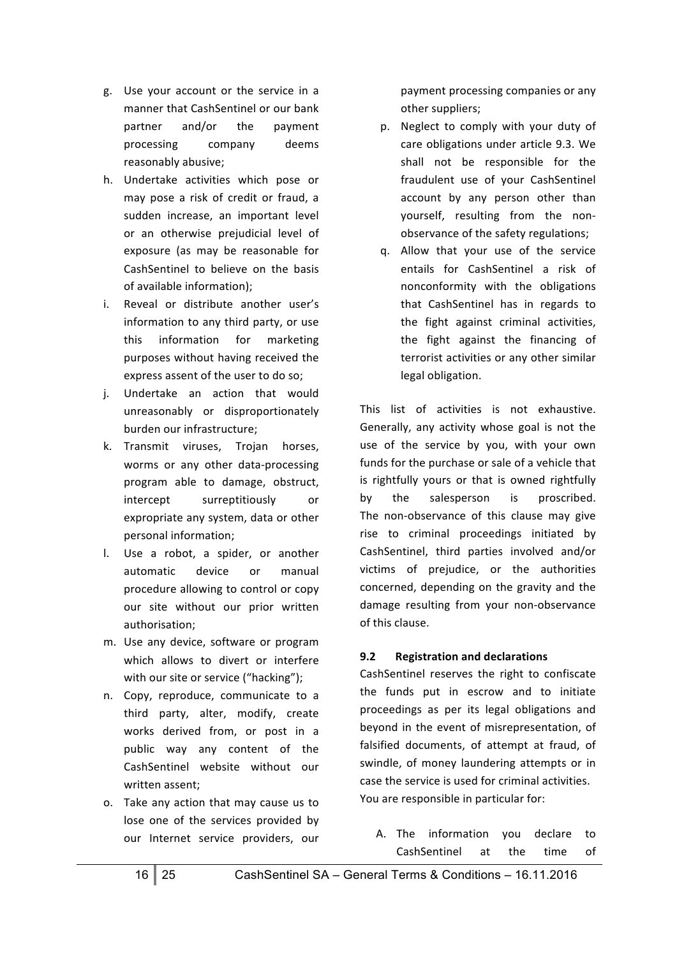- g. Use your account or the service in a manner that CashSentinel or our bank partner and/or the payment processing company deems reasonably abusive;
- h. Undertake activities which pose or may pose a risk of credit or fraud, a sudden increase, an important level or an otherwise prejudicial level of exposure (as may be reasonable for CashSentinel to believe on the basis of available information);
- i. Reveal or distribute another user's information to any third party, or use this information for marketing purposes without having received the express assent of the user to do so;
- j. Undertake an action that would unreasonably or disproportionately burden our infrastructure:
- k. Transmit viruses, Trojan horses, worms or any other data-processing program able to damage, obstruct, intercept surreptitiously or expropriate any system, data or other personal information;
- l. Use a robot, a spider, or another automatic device or manual procedure allowing to control or copy our site without our prior written authorisation;
- m. Use any device, software or program which allows to divert or interfere with our site or service ("hacking");
- n. Copy, reproduce, communicate to a third party, alter, modify, create works derived from, or post in a public way any content of the CashSentinel website without our written assent:
- o. Take any action that may cause us to lose one of the services provided by our Internet service providers, our

payment processing companies or any other suppliers;

- p. Neglect to comply with your duty of care obligations under article 9.3. We shall not be responsible for the fraudulent use of your CashSentinel account by any person other than yourself, resulting from the nonobservance of the safety regulations;
- q. Allow that your use of the service entails for CashSentinel a risk of nonconformity with the obligations that CashSentinel has in regards to the fight against criminal activities, the fight against the financing of terrorist activities or any other similar legal obligation.

This list of activities is not exhaustive. Generally, any activity whose goal is not the use of the service by you, with your own funds for the purchase or sale of a vehicle that is rightfully yours or that is owned rightfully by the salesperson is proscribed. The non-observance of this clause may give rise to criminal proceedings initiated by CashSentinel, third parties involved and/or victims of prejudice, or the authorities concerned, depending on the gravity and the damage resulting from your non-observance of this clause.

#### **9.2 Registration and declarations**

CashSentinel reserves the right to confiscate the funds put in escrow and to initiate proceedings as per its legal obligations and beyond in the event of misrepresentation, of falsified documents, of attempt at fraud, of swindle, of money laundering attempts or in case the service is used for criminal activities. You are responsible in particular for:

A. The information you declare to CashSentinel at the time of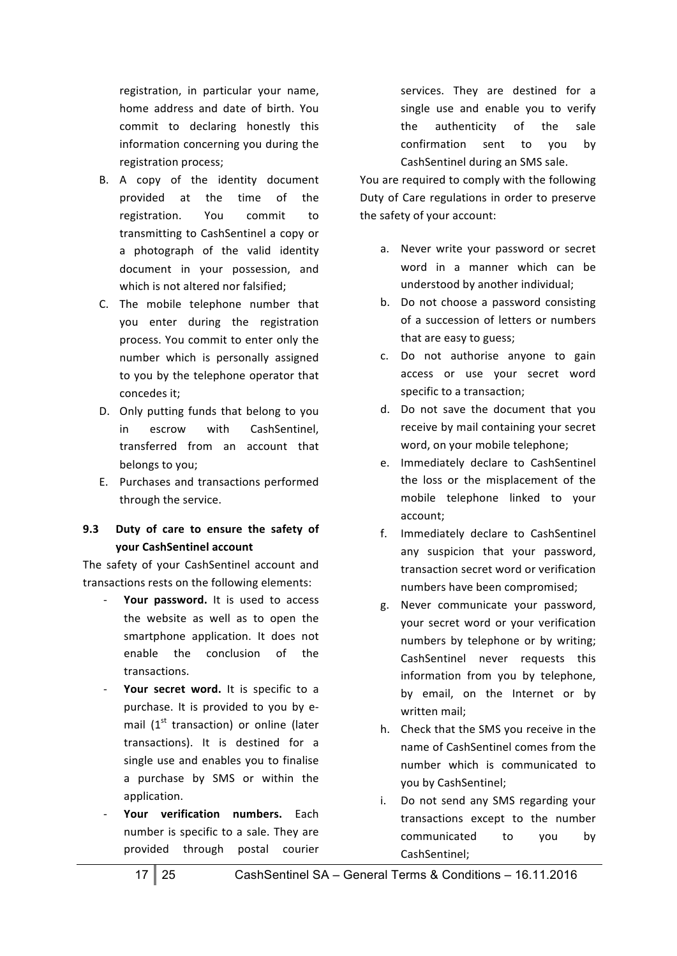registration, in particular your name, home address and date of birth. You commit to declaring honestly this information concerning you during the registration process;

- B. A copy of the identity document provided at the time of the registration. You commit to transmitting to CashSentinel a copy or a photograph of the valid identity document in your possession, and which is not altered nor falsified;
- C. The mobile telephone number that you enter during the registration process. You commit to enter only the number which is personally assigned to you by the telephone operator that concedes it;
- D. Only putting funds that belong to you in escrow with CashSentinel. transferred from an account that belongs to you;
- E. Purchases and transactions performed through the service.

#### 9.3 **Duty of care to ensure the safety of your CashSentinel account**

The safety of your CashSentinel account and transactions rests on the following elements:

- Your password. It is used to access the website as well as to open the smartphone application. It does not enable the conclusion of the transactions.
- Your secret word. It is specific to a purchase. It is provided to you by email  $(1<sup>st</sup>$  transaction) or online (later transactions). It is destined for a single use and enables you to finalise a purchase by SMS or within the application.
- Your verification numbers. Each number is specific to a sale. They are provided through postal courier

services. They are destined for a single use and enable you to verify the authenticity of the sale confirmation sent to you by CashSentinel during an SMS sale.

You are required to comply with the following Duty of Care regulations in order to preserve the safety of your account:

- a. Never write your password or secret word in a manner which can be understood by another individual;
- b. Do not choose a password consisting of a succession of letters or numbers that are easy to guess;
- c. Do not authorise anyone to gain access or use your secret word specific to a transaction;
- d. Do not save the document that you receive by mail containing your secret word, on your mobile telephone;
- e. Immediately declare to CashSentinel the loss or the misplacement of the mobile telephone linked to your account;
- f. Immediately declare to CashSentinel any suspicion that your password. transaction secret word or verification numbers have been compromised;
- g. Never communicate your password, your secret word or your verification numbers by telephone or by writing; CashSentinel never requests this information from you by telephone, by email, on the Internet or by written mail;
- h. Check that the SMS you receive in the name of CashSentinel comes from the number which is communicated to you by CashSentinel;
- i. Do not send any SMS regarding your transactions except to the number communicated to you by CashSentinel;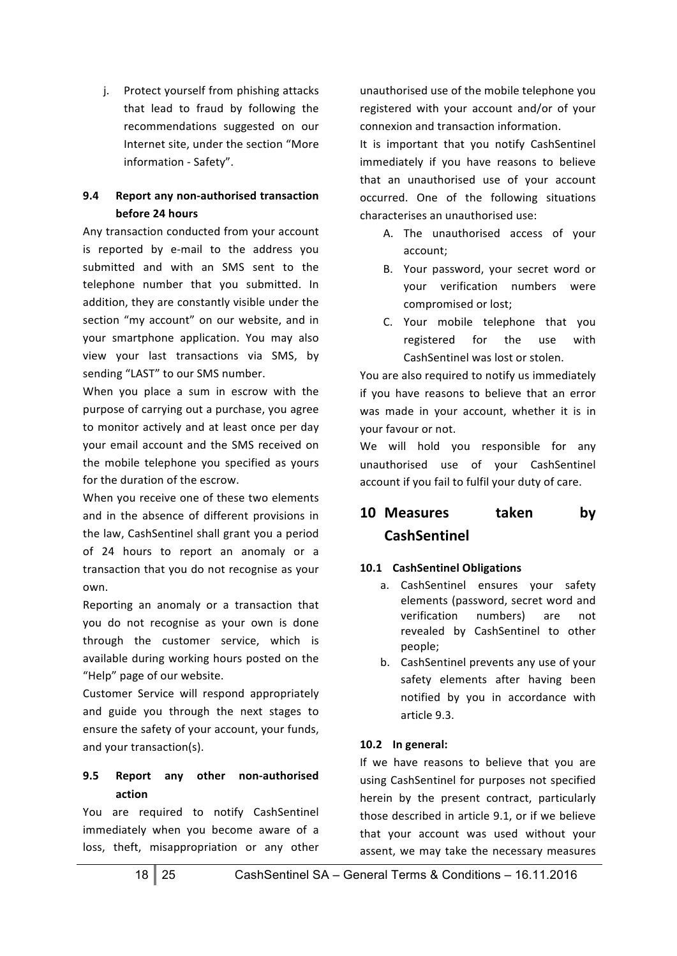j. Protect yourself from phishing attacks that lead to fraud by following the recommendations suggested on our Internet site, under the section "More information - Safety".

## **9.4** Report any non-authorised transaction **before 24 hours**

Any transaction conducted from your account is reported by e-mail to the address you submitted and with an SMS sent to the telephone number that you submitted. In addition, they are constantly visible under the section "my account" on our website, and in your smartphone application. You may also view your last transactions via SMS, by sending "LAST" to our SMS number.

When you place a sum in escrow with the purpose of carrying out a purchase, you agree to monitor actively and at least once per day your email account and the SMS received on the mobile telephone you specified as yours for the duration of the escrow.

When you receive one of these two elements and in the absence of different provisions in the law, CashSentinel shall grant you a period of 24 hours to report an anomaly or a transaction that you do not recognise as your own.

Reporting an anomaly or a transaction that you do not recognise as your own is done through the customer service, which is available during working hours posted on the "Help" page of our website.

Customer Service will respond appropriately and guide you through the next stages to ensure the safety of your account, your funds, and your transaction(s).

# **9.5 Report any other non-authorised action**

You are required to notify CashSentinel immediately when you become aware of a loss, theft, misappropriation or any other unauthorised use of the mobile telephone you registered with your account and/or of your connexion and transaction information.

It is important that you notify CashSentinel immediately if you have reasons to believe that an unauthorised use of your account occurred. One of the following situations characterises an unauthorised use:

- A. The unauthorised access of your account;
- B. Your password, your secret word or your verification numbers were compromised or lost;
- C. Your mobile telephone that you registered for the use with CashSentinel was lost or stolen.

You are also required to notify us immediately if you have reasons to believe that an error was made in your account, whether it is in your favour or not.

We will hold you responsible for any unauthorised use of your CashSentinel account if you fail to fulfil your duty of care.

# **10** Measures taken by **CashSentinel**

## **10.1 CashSentinel Obligations**

- a. CashSentinel ensures your safety elements (password, secret word and verification numbers) are not revealed by CashSentinel to other people;
- b. CashSentinel prevents any use of your safety elements after having been notified by you in accordance with article 9.3.

## **10.2 In general:**

If we have reasons to believe that you are using CashSentinel for purposes not specified herein by the present contract, particularly those described in article 9.1, or if we believe that your account was used without your assent, we may take the necessary measures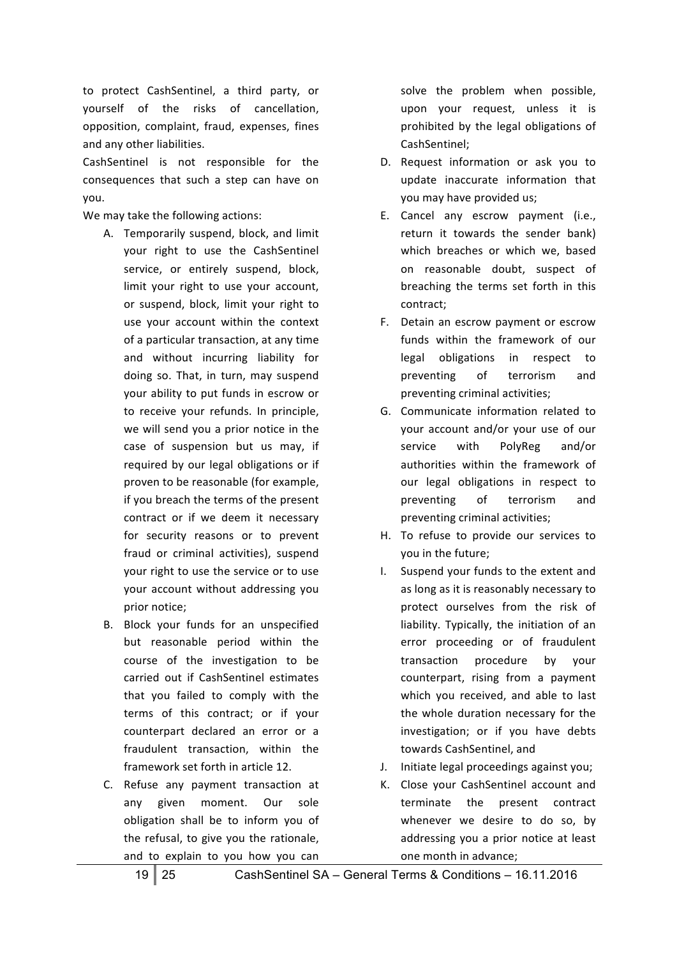to protect CashSentinel, a third party, or yourself of the risks of cancellation, opposition, complaint, fraud, expenses, fines and any other liabilities.

CashSentinel is not responsible for the consequences that such a step can have on you.

We may take the following actions:

- A. Temporarily suspend, block, and limit your right to use the CashSentinel service, or entirely suspend, block, limit your right to use your account, or suspend, block, limit your right to use your account within the context of a particular transaction, at any time and without incurring liability for doing so. That, in turn, may suspend your ability to put funds in escrow or to receive your refunds. In principle, we will send you a prior notice in the case of suspension but us may, if required by our legal obligations or if proven to be reasonable (for example, if you breach the terms of the present contract or if we deem it necessary for security reasons or to prevent fraud or criminal activities), suspend your right to use the service or to use your account without addressing you prior notice:
- B. Block your funds for an unspecified but reasonable period within the course of the investigation to be carried out if CashSentinel estimates that you failed to comply with the terms of this contract; or if your counterpart declared an error or a fraudulent transaction, within the framework set forth in article 12.
- C. Refuse any payment transaction at any given moment. Our sole obligation shall be to inform you of the refusal, to give you the rationale, and to explain to you how you can

solve the problem when possible, upon your request, unless it is prohibited by the legal obligations of CashSentinel;

- D. Request information or ask you to update inaccurate information that you may have provided us;
- E. Cancel any escrow payment (i.e., return it towards the sender bank) which breaches or which we, based on reasonable doubt, suspect of breaching the terms set forth in this contract;
- F. Detain an escrow payment or escrow funds within the framework of our legal obligations in respect to preventing of terrorism and preventing criminal activities;
- G. Communicate information related to your account and/or your use of our service with PolyReg and/or authorities within the framework of our legal obligations in respect to preventing of terrorism and preventing criminal activities;
- H. To refuse to provide our services to you in the future;
- I. Suspend your funds to the extent and as long as it is reasonably necessary to protect ourselves from the risk of liability. Typically, the initiation of an error proceeding or of fraudulent transaction procedure by your counterpart, rising from a payment which you received, and able to last the whole duration necessary for the investigation; or if you have debts towards CashSentinel, and
- J. Initiate legal proceedings against you;
- K. Close your CashSentinel account and terminate the present contract whenever we desire to do so, by addressing you a prior notice at least one month in advance;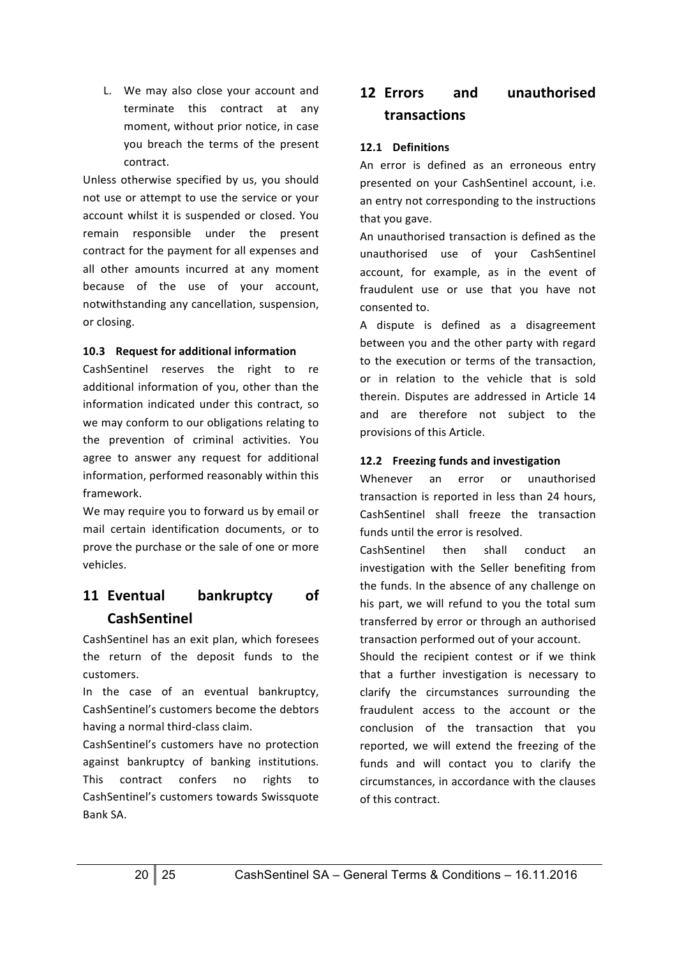L. We may also close your account and terminate this contract at any moment, without prior notice, in case you breach the terms of the present contract.

Unless otherwise specified by us, you should not use or attempt to use the service or your account whilst it is suspended or closed. You remain responsible under the present contract for the payment for all expenses and all other amounts incurred at any moment because of the use of your account, notwithstanding any cancellation, suspension, or closing.

#### **10.3 Request for additional information**

CashSentinel reserves the right to re additional information of you, other than the information indicated under this contract, so we may conform to our obligations relating to the prevention of criminal activities. You agree to answer any request for additional information, performed reasonably within this framework. 

We may require you to forward us by email or mail certain identification documents, or to prove the purchase or the sale of one or more vehicles. 

# 11 **Eventual bankruptcy** of **CashSentinel**

CashSentinel has an exit plan, which foresees the return of the deposit funds to the customers.

In the case of an eventual bankruptcy, CashSentinel's customers become the debtors having a normal third-class claim.

CashSentinel's customers have no protection against bankruptcy of banking institutions. This contract confers no rights to CashSentinel's customers towards Swissquote Bank SA.

# **12 Errors and unauthorised transactions**

#### **12.1 Definitions**

An error is defined as an erroneous entry presented on your CashSentinel account, i.e. an entry not corresponding to the instructions that you gave.

An unauthorised transaction is defined as the unauthorised use of your CashSentinel account, for example, as in the event of fraudulent use or use that you have not consented to.

A dispute is defined as a disagreement between you and the other party with regard to the execution or terms of the transaction, or in relation to the vehicle that is sold therein. Disputes are addressed in Article 14 and are therefore not subject to the provisions of this Article.

#### **12.2** Freezing funds and investigation

Whenever an error or unauthorised transaction is reported in less than 24 hours. CashSentinel shall freeze the transaction funds until the error is resolved.

CashSentinel then shall conduct an investigation with the Seller benefiting from the funds. In the absence of any challenge on his part, we will refund to you the total sum transferred by error or through an authorised transaction performed out of your account.

Should the recipient contest or if we think that a further investigation is necessary to clarify the circumstances surrounding the fraudulent access to the account or the conclusion of the transaction that you reported, we will extend the freezing of the funds and will contact you to clarify the circumstances, in accordance with the clauses of this contract.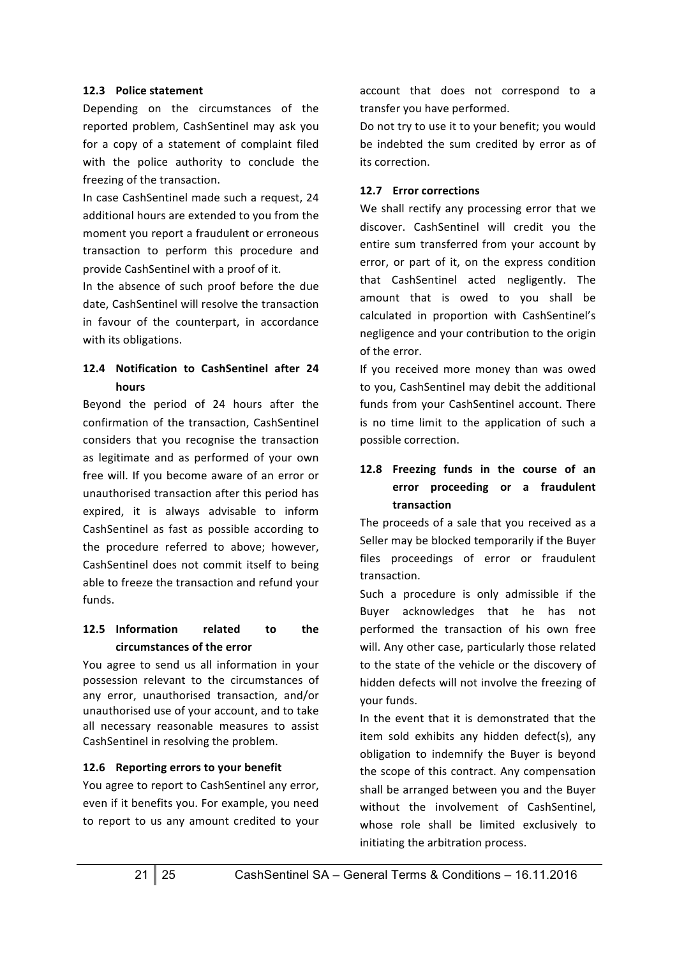#### **12.3 Police statement**

Depending on the circumstances of the reported problem, CashSentinel may ask you for a copy of a statement of complaint filed with the police authority to conclude the freezing of the transaction.

In case CashSentinel made such a request, 24 additional hours are extended to you from the moment you report a fraudulent or erroneous transaction to perform this procedure and provide CashSentinel with a proof of it.

In the absence of such proof before the due date, CashSentinel will resolve the transaction in favour of the counterpart, in accordance with its obligations.

#### **12.4 Notification to CashSentinel after 24 hours**

Beyond the period of 24 hours after the confirmation of the transaction, CashSentinel considers that you recognise the transaction as legitimate and as performed of your own free will. If you become aware of an error or unauthorised transaction after this period has expired, it is always advisable to inform CashSentinel as fast as possible according to the procedure referred to above; however, CashSentinel does not commit itself to being able to freeze the transaction and refund your funds.

## 12.5 **Information** related to the **circumstances of the error**

You agree to send us all information in your possession relevant to the circumstances of any error, unauthorised transaction, and/or unauthorised use of your account, and to take all necessary reasonable measures to assist CashSentinel in resolving the problem.

#### 12.6 Reporting errors to your benefit

You agree to report to CashSentinel any error, even if it benefits you. For example, you need to report to us any amount credited to your account that does not correspond to a transfer you have performed.

Do not try to use it to your benefit; you would be indebted the sum credited by error as of its correction.

#### **12.7 Error corrections**

We shall rectify any processing error that we discover. CashSentinel will credit you the entire sum transferred from your account by error, or part of it, on the express condition that CashSentinel acted negligently. The amount that is owed to you shall be calculated in proportion with CashSentinel's negligence and your contribution to the origin of the error.

If you received more money than was owed to you, CashSentinel may debit the additional funds from your CashSentinel account. There is no time limit to the application of such a possible correction.

# 12.8 Freezing funds in the course of an **error proceeding or a fraudulent transaction**

The proceeds of a sale that you received as a Seller may be blocked temporarily if the Buyer files proceedings of error or fraudulent transaction.

Such a procedure is only admissible if the Buyer acknowledges that he has not performed the transaction of his own free will. Any other case, particularly those related to the state of the vehicle or the discovery of hidden defects will not involve the freezing of your funds.

In the event that it is demonstrated that the item sold exhibits any hidden defect(s), any obligation to indemnify the Buyer is beyond the scope of this contract. Any compensation shall be arranged between you and the Buyer without the involvement of CashSentinel, whose role shall be limited exclusively to initiating the arbitration process.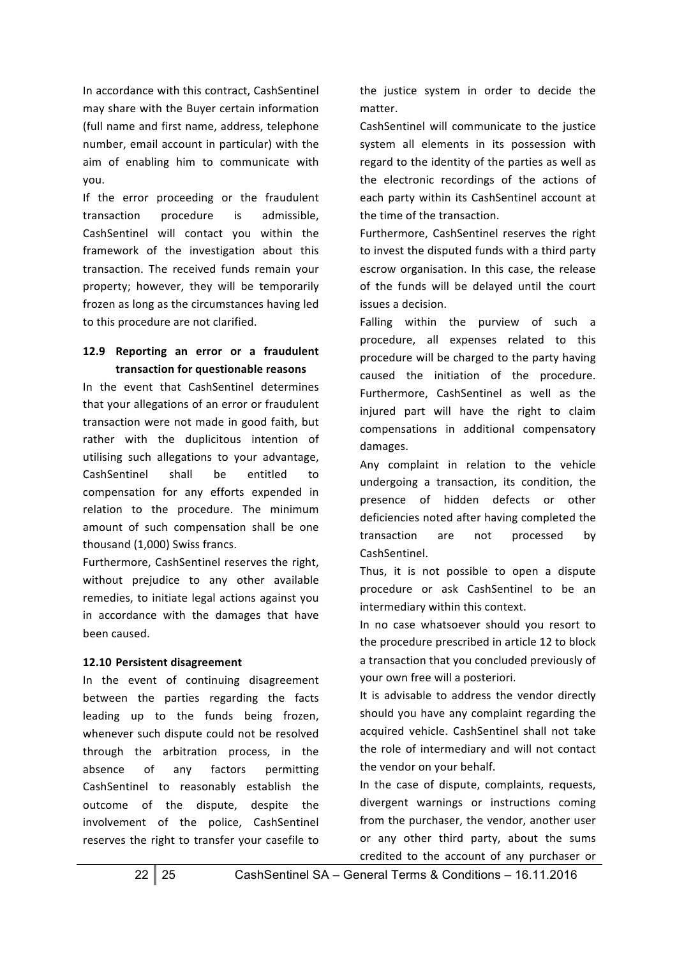In accordance with this contract, CashSentinel may share with the Buyer certain information (full name and first name, address, telephone number, email account in particular) with the aim of enabling him to communicate with you. 

If the error proceeding or the fraudulent transaction procedure is admissible, CashSentinel will contact you within the framework of the investigation about this transaction. The received funds remain your property; however, they will be temporarily frozen as long as the circumstances having led to this procedure are not clarified.

#### 12.9 Reporting an error or a fraudulent **transaction for questionable reasons**

In the event that CashSentinel determines that your allegations of an error or fraudulent transaction were not made in good faith, but rather with the duplicitous intention of utilising such allegations to your advantage, CashSentinel shall be entitled to compensation for any efforts expended in relation to the procedure. The minimum amount of such compensation shall be one thousand (1,000) Swiss francs.

Furthermore, CashSentinel reserves the right, without prejudice to any other available remedies, to initiate legal actions against you in accordance with the damages that have been caused.

#### **12.10 Persistent disagreement**

In the event of continuing disagreement between the parties regarding the facts leading up to the funds being frozen, whenever such dispute could not be resolved through the arbitration process, in the absence of any factors permitting CashSentinel to reasonably establish the outcome of the dispute, despite the involvement of the police, CashSentinel reserves the right to transfer your casefile to

the justice system in order to decide the matter.

CashSentinel will communicate to the justice system all elements in its possession with regard to the identity of the parties as well as the electronic recordings of the actions of each party within its CashSentinel account at the time of the transaction.

Furthermore, CashSentinel reserves the right to invest the disputed funds with a third party escrow organisation. In this case, the release of the funds will be delayed until the court issues a decision.

Falling within the purview of such a procedure, all expenses related to this procedure will be charged to the party having caused the initiation of the procedure. Furthermore, CashSentinel as well as the injured part will have the right to claim compensations in additional compensatory damages.

Any complaint in relation to the vehicle undergoing a transaction, its condition, the presence of hidden defects or other deficiencies noted after having completed the transaction are not processed by CashSentinel.

Thus, it is not possible to open a dispute procedure or ask CashSentinel to be an intermediary within this context.

In no case whatsoever should you resort to the procedure prescribed in article 12 to block a transaction that you concluded previously of your own free will a posteriori.

It is advisable to address the vendor directly should you have any complaint regarding the acquired vehicle. CashSentinel shall not take the role of intermediary and will not contact the vendor on your behalf.

In the case of dispute, complaints, requests, divergent warnings or instructions coming from the purchaser, the vendor, another user or any other third party, about the sums credited to the account of any purchaser or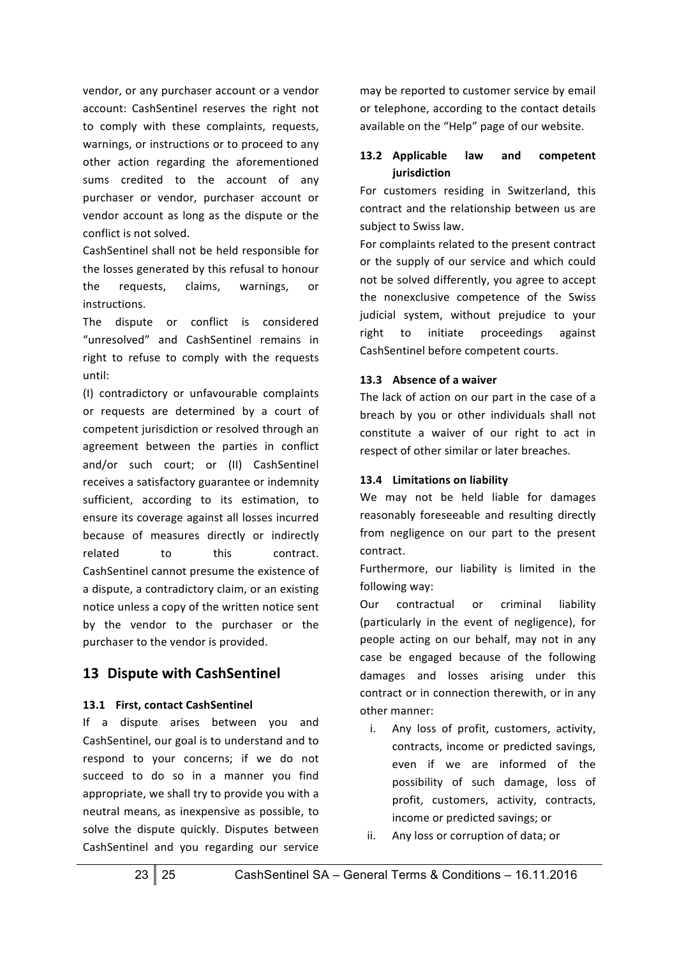vendor, or any purchaser account or a vendor account: CashSentinel reserves the right not to comply with these complaints, requests, warnings, or instructions or to proceed to any other action regarding the aforementioned sums credited to the account of any purchaser or vendor, purchaser account or vendor account as long as the dispute or the conflict is not solved.

CashSentinel shall not be held responsible for the losses generated by this refusal to honour the requests, claims, warnings, or instructions.

The dispute or conflict is considered "unresolved" and CashSentinel remains in right to refuse to comply with the requests until:

(I) contradictory or unfavourable complaints or requests are determined by a court of competent jurisdiction or resolved through an agreement between the parties in conflict and/or such court; or (II) CashSentinel receives a satisfactory guarantee or indemnity sufficient, according to its estimation, to ensure its coverage against all losses incurred because of measures directly or indirectly related to this contract. CashSentinel cannot presume the existence of a dispute, a contradictory claim, or an existing notice unless a copy of the written notice sent by the vendor to the purchaser or the purchaser to the vendor is provided.

# **13 Dispute with CashSentinel**

#### **13.1 First, contact CashSentinel**

If a dispute arises between you and CashSentinel, our goal is to understand and to respond to your concerns: if we do not succeed to do so in a manner you find appropriate, we shall try to provide you with a neutral means, as inexpensive as possible, to solve the dispute quickly. Disputes between CashSentinel and you regarding our service may be reported to customer service by email or telephone, according to the contact details available on the "Help" page of our website.

#### 13.2 **Applicable** law and competent **jurisdiction**

For customers residing in Switzerland, this contract and the relationship between us are subject to Swiss law.

For complaints related to the present contract or the supply of our service and which could not be solved differently, you agree to accept the nonexclusive competence of the Swiss judicial system, without prejudice to your right to initiate proceedings against CashSentinel before competent courts.

#### 13.3 Absence of a waiver

The lack of action on our part in the case of a breach by you or other individuals shall not constitute a waiver of our right to act in respect of other similar or later breaches.

#### 13.4 Limitations on liability

We may not be held liable for damages reasonably foreseeable and resulting directly from negligence on our part to the present contract.

Furthermore, our liability is limited in the following way:

Our contractual or criminal liability (particularly in the event of negligence), for people acting on our behalf, may not in any case be engaged because of the following damages and losses arising under this contract or in connection therewith, or in any other manner:

- i. Any loss of profit, customers, activity, contracts, income or predicted savings, even if we are informed of the possibility of such damage, loss of profit, customers, activity, contracts, income or predicted savings; or
- ii. Any loss or corruption of data; or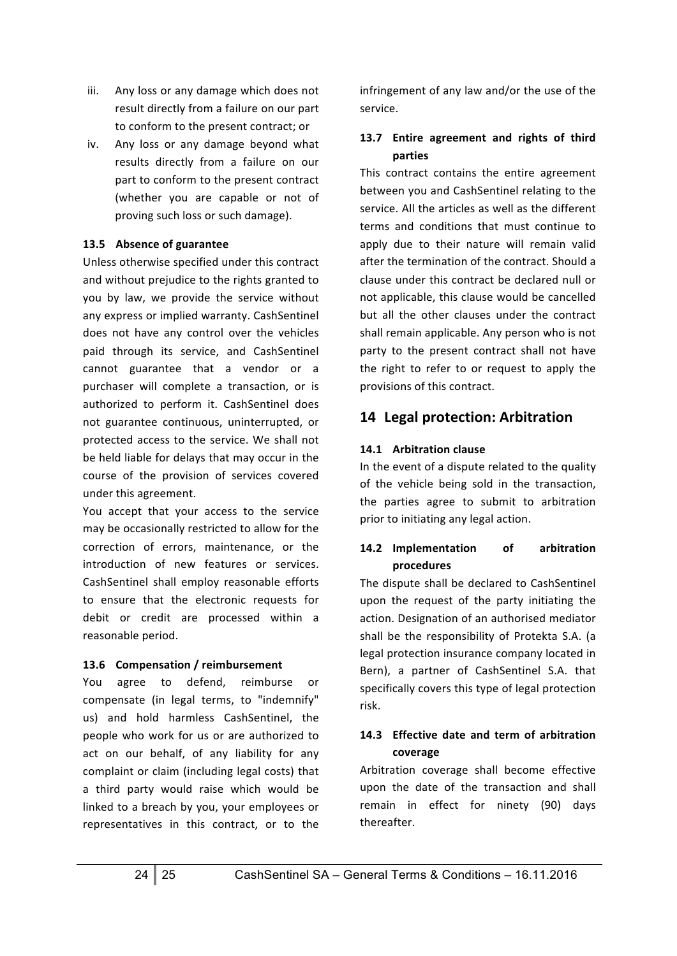- iii. Any loss or any damage which does not result directly from a failure on our part to conform to the present contract; or
- iv. Any loss or any damage beyond what results directly from a failure on our part to conform to the present contract (whether you are capable or not of proving such loss or such damage).

#### **13.5 Absence of guarantee**

Unless otherwise specified under this contract and without prejudice to the rights granted to you by law, we provide the service without any express or implied warranty. CashSentinel does not have any control over the vehicles paid through its service, and CashSentinel cannot guarantee that a vendor or a purchaser will complete a transaction, or is authorized to perform it. CashSentinel does not guarantee continuous, uninterrupted, or protected access to the service. We shall not be held liable for delays that may occur in the course of the provision of services covered under this agreement.

You accept that your access to the service may be occasionally restricted to allow for the correction of errors, maintenance, or the introduction of new features or services. CashSentinel shall employ reasonable efforts to ensure that the electronic requests for debit or credit are processed within a reasonable period.

## 13.6 Compensation / reimbursement

You agree to defend, reimburse or compensate (in legal terms, to "indemnify" us) and hold harmless CashSentinel, the people who work for us or are authorized to act on our behalf, of any liability for any complaint or claim (including legal costs) that a third party would raise which would be linked to a breach by you, your employees or representatives in this contract, or to the

infringement of any law and/or the use of the service.

## 13.7 **Entire agreement and rights of third parties**

This contract contains the entire agreement between you and CashSentinel relating to the service. All the articles as well as the different terms and conditions that must continue to apply due to their nature will remain valid after the termination of the contract. Should a clause under this contract be declared null or not applicable, this clause would be cancelled but all the other clauses under the contract shall remain applicable. Any person who is not party to the present contract shall not have the right to refer to or request to apply the provisions of this contract.

# **14 Legal protection: Arbitration**

# **14.1 Arbitration clause**

In the event of a dispute related to the quality of the vehicle being sold in the transaction, the parties agree to submit to arbitration prior to initiating any legal action.

#### 14.2 **Implementation** of arbitration **procedures**

The dispute shall be declared to CashSentinel upon the request of the party initiating the action. Designation of an authorised mediator shall be the responsibility of Protekta S.A. (a legal protection insurance company located in Bern), a partner of CashSentinel S.A. that specifically covers this type of legal protection risk.

## 14.3 **Effective date and term of arbitration coverage**

Arbitration coverage shall become effective upon the date of the transaction and shall remain in effect for ninety (90) days thereafter.